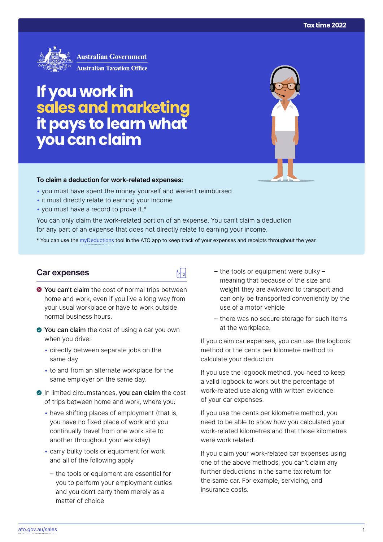

# **If you work in salesand marketing it pays to learn what you can claim**

#### **To claim a deduction for work‑related expenses:**

- you must have spent the money yourself and weren't reimbursed
- it must directly relate to earning your income
- you must have a record to prove it.\*

You can only claim the work-related portion of an expense. You can't claim a deduction for any part of an expense that does not directly relate to earning your income.

\* You can use the [myDeductions](https://ato.gov.au/mydeductions) tool in the ATO app to keep track of your expenses and receipts throughout the year.

品

## **Car expenses**

- $\bullet$  You can't claim the cost of normal trips between home and work, even if you live a long way from your usual workplace or have to work outside normal business hours.
- ◆ You can claim the cost of using a car you own when you drive:
	- directly between separate jobs on the same day
	- to and from an alternate workplace for the same employer on the same day.
- In limited circumstances, you can claim the cost of trips between home and work, where you:
	- have shifting places of employment (that is, you have no fixed place of work and you continually travel from one work site to another throughout your workday)
	- carry bulky tools or equipment for work and all of the following apply
		- the tools or equipment are essential for you to perform your employment duties and you don't carry them merely as a matter of choice
- the tools or equipment were bulky meaning that because of the size and weight they are awkward to transport and can only be transported conveniently by the use of a motor vehicle
- there was no secure storage for such items at the workplace.

If you claim car expenses, you can use the logbook method or the cents per kilometre method to calculate your deduction.

If you use the logbook method, you need to keep a valid logbook to work out the percentage of work-related use along with written evidence of your car expenses.

If you use the cents per kilometre method, you need to be able to show how you calculated your work-related kilometres and that those kilometres were work related.

If you claim your work-related car expenses using one of the above methods, you can't claim any further deductions in the same tax return for the same car. For example, servicing, and insurance costs.